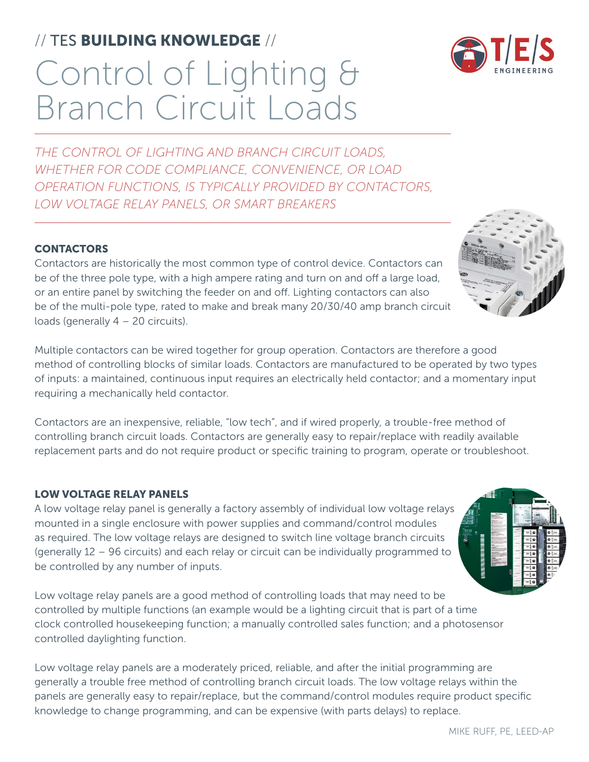# Control of Lighting & Branch Circuit Loads // TES BUILDING KNOWLEDGE //

*THE CONTROL OF LIGHTING AND BRANCH CIRCUIT LOADS, WHETHER FOR CODE COMPLIANCE, CONVENIENCE, OR LOAD OPERATION FUNCTIONS, IS TYPICALLY PROVIDED BY CONTACTORS, LOW VOLTAGE RELAY PANELS, OR SMART BREAKERS*

### **CONTACTORS**

Contactors are historically the most common type of control device. Contactors can be of the three pole type, with a high ampere rating and turn on and off a large load, or an entire panel by switching the feeder on and off. Lighting contactors can also be of the multi-pole type, rated to make and break many 20/30/40 amp branch circuit loads (generally 4 – 20 circuits).

Multiple contactors can be wired together for group operation. Contactors are therefore a good method of controlling blocks of similar loads. Contactors are manufactured to be operated by two types of inputs: a maintained, continuous input requires an electrically held contactor; and a momentary input requiring a mechanically held contactor.

Contactors are an inexpensive, reliable, "low tech", and if wired properly, a trouble-free method of controlling branch circuit loads. Contactors are generally easy to repair/replace with readily available replacement parts and do not require product or specific training to program, operate or troubleshoot.

### LOW VOLTAGE RELAY PANELS

A low voltage relay panel is generally a factory assembly of individual low voltage relays mounted in a single enclosure with power supplies and command/control modules as required. The low voltage relays are designed to switch line voltage branch circuits (generally 12 – 96 circuits) and each relay or circuit can be individually programmed to be controlled by any number of inputs.

Low voltage relay panels are a good method of controlling loads that may need to be controlled by multiple functions (an example would be a lighting circuit that is part of a time clock controlled housekeeping function; a manually controlled sales function; and a photosensor controlled daylighting function.

Low voltage relay panels are a moderately priced, reliable, and after the initial programming are generally a trouble free method of controlling branch circuit loads. The low voltage relays within the panels are generally easy to repair/replace, but the command/control modules require product specific knowledge to change programming, and can be expensive (with parts delays) to replace.